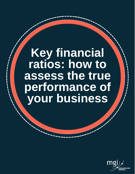# **Key financial ratios: how to assess the true performance of your business**

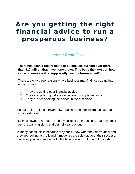### Are you getting the right financial advice to run a prosperous business?

*Author Grant Field*

**There has been a recent spate of businesses turning over more than \$10 million that have gone broke. This begs the question how can a business with a supposedly healthy turnover fail?**

There are only three reasons why a business may find itself going into administration:

- They are getting poor financial advice **1**
- They are getting good advice but are not implementing it **2**
- They are not seeking the advice in the first place. **3**

It's not rocket science. Invariably, a business in administration has run out of cash flow!

Business owners are often so busy building their business that they don't read the warning signs and get help early enough.

In many cases this is because they don't know what they don't know and they are looking at profit and turnover as the sole gauge of their success. However you can have a profitable business and still run out of cash.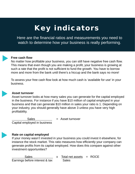# Key indicators

Here are the financial ratios and measurements you need to watch to determine how your business is really performing.



### **Free cash flow**

No matter how profitable your business, you can still have negative free cash flow. This means that even though you are making a profit, your business is growing at such a rate that the profit is not sufficient to fund the growth. You have to borrow more and more from the bank until there's a hiccup and the bank says no more!

To assess your free cash flow look at how much cash is 'available for use' in your business.

### **Asset turnover**

Asset turnover looks at how many sales you can generate for the capital employed in the business. For instance if you have \$10 million of capital employed in your business and that can generate \$10 million in sales your ratio is 1. Depending on your industry, you should generally have above 3 unless you have very high profitability.

Sales  $=$  Asset turnover

Capital employed in business

### **Rate on capital employed**

If your money wasn't invested in your business you could invest it elsewhere, for instance the stock market. This ratio measures how efficiently your company can generate profits from its capital employed. How does this compare against other investment opportunities?

 $Sales$  x Total net assets = ROCE Earnings before interest & tax Sales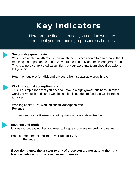# Key indicators

Here are the financial ratios you need to watch to determine if you are running a prosperous business.



### **Sustainable growth rate**

Your sustainable growth rate is how much the business can afford to grow without requiring disproportionate debt. Growth funded entirely on debt is dangerous debt. This is a more complicated calculation but your accounts team should be able to tell you this.

Return on equity  $x$  (1 - dividend payout ratio) = sustainable growth rate



### **Working capital absorption ratio**

This is a simple ratio that you need to know in a high growth business. In other words, how much additional working capital is needed to fund a given increase in turnover.

Working capital\*  $=$  working capital absorption rate Revenue

\* Working capital is the combination of your work in progress and Debtors balances less Creditors

### **Revenue and profit**

It goes without saying that you need to keep a close eye on profit and venue.

Profit before Interest and  $\text{Tax}$  = Profitability % Revenue

**If you don't know the answer to any of these you are not getting the right financial advice to run a prosperous business.**